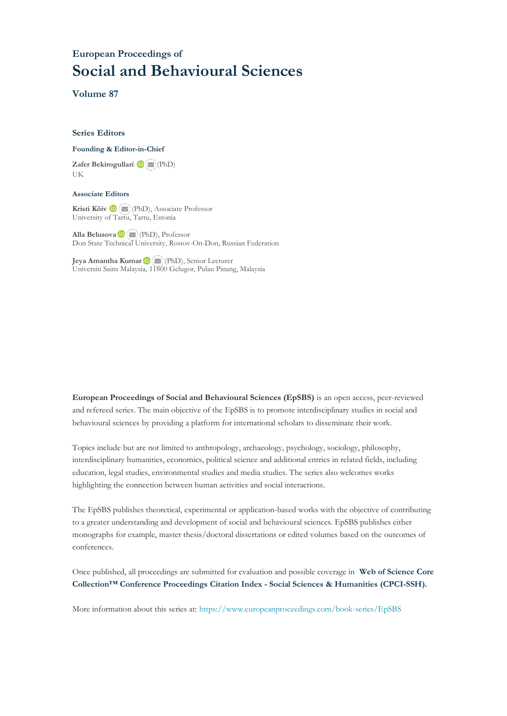### **European Proceedings of Social and Behavioural Sciences**

**Volume 87**

#### **Series Editors**

#### **Founding & Editor-in-Chief**

**Zafer Bekirogullari**(PhD) UK

#### **Associate Editors**

**Kristi Köiv** (PhD), Associate Professor University of Tartu, Tartu, Estonia

**Alla Belusova**(PhD), Professor Don State Technical University, Rostov-On-Don, Russian Federation

**Jeya Amantha Kumar**(PhD), Senior Lecturer Universiti Sains Malaysia, [1180](mailto:amantha@usm.my)0 Gelugor, Pulau Pinang, Malaysia

**European Proceedings of Social and Behavioural Sciences (EpSBS)** is an open access, peer-reviewed and refereed series. The main objective of the EpSBS is to promote interdisciplinary studies in social and behavioural sciences by providing a platform for international scholars to disseminate their work.

Topics include but are not limited to anthropology, archaeology, psychology, sociology, philosophy, interdisciplinary humanities, economics, political science and additional entries in related fields, including education, legal studies, environmental studies and media studies. The series also welcomes works highlighting the connection between human activities and social interactions.

The EpSBS publishes theoretical, experimental or application-based works with the objective of contributing to a greater understanding and development of social and behavioural sciences. EpSBS publishes either monographs for example, master thesis/doctoral dissertations or edited volumes based on the outcomes of conferences.

Once published, all proceedings are submitted for evaluation and possible coverage in **Web of [Science](https://clarivate.com/webofsciencegroup/solutions/webofscience-cpci/) Core Collection™ Conference Proceedings Citation Index - Social Sciences & Humanities [\(CPCI-SSH\).](https://clarivate.com/webofsciencegroup/solutions/webofscience-cpci/)**

More information about this series at[: https://www.europeanproceedings.com/book-series/EpSBS](https://www.europeanproceedings.com/book-series/EpSBS)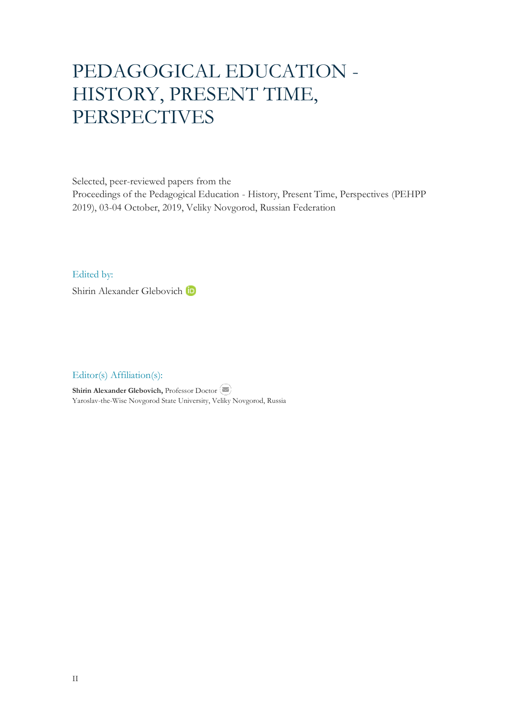# PEDAGOGICAL EDUCATION - HISTORY, PRESENT TIME, PERSPECTIVES

Selected, peer-reviewed papers from the

Proceedings of the Pedagogical Education - History, Present Time, Perspectives (PEHPP 2019), 03-04 October, 2019, Veliky Novgorod, Russian Federation

Edited by:

Shirin Alexander Glebovich <sup>th</sup>

Editor(s) Affiliation(s):

**Shirin Alexander Glebovich, Professor Doctor** Yaroslav-the-Wise Novgorod State University, Veliky Novgorod, Russia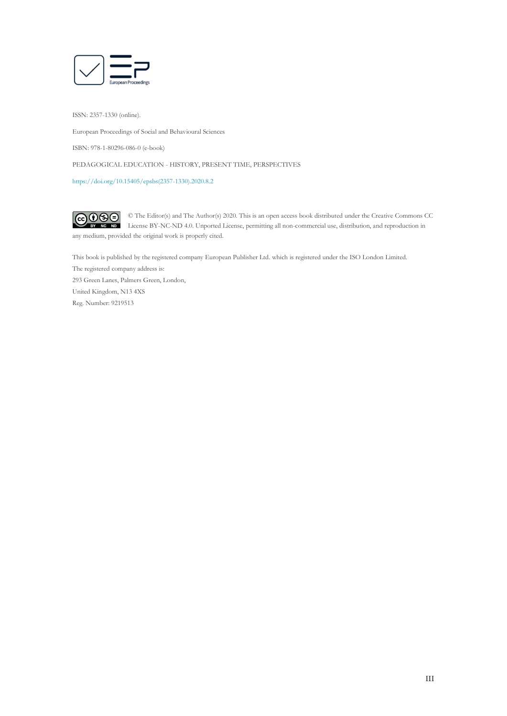

ISSN: 2357-1330 (online).

European Proceedings of Social and Behavioural Sciences

ISBN: 978-1-80296-086-0 (e-book)

PEDAGOGICAL EDUCATION - HISTORY, PRESENT TIME, PERSPECTIVES

[https://doi.org/10.15405/epsbs\(2357-1330\).2020.8.2](https://doi.org/10.15405/epsbs(2357-1330).2020.8.2)

 $G \odot \odot$ © The Editor(s) and The Author(s) 2020. This is an open access book distributed under the Creative Commons CC License BY-NC-ND 4.0. Unported License, permitting all non-commercial use, distribution, and reproduction in  $\overline{ND}$ any medium, provided the original work is properly cited.

This book is published by the registered company European Publisher Ltd. which is registered under the ISO London Limited. The registered company address is: 293 Green Lanes, Palmers Green, London, United Kingdom, N13 4XS Reg. Number: 9219513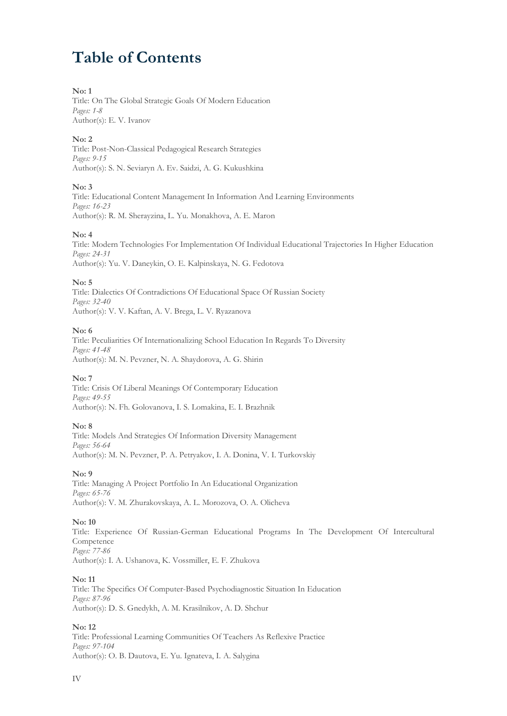## **Table of Contents**

#### **No: 1**

Title: On The Global Strategic Goals Of Modern Education *Pages: 1-8* Author(s): E. V. Ivanov

#### **No: 2**

Title: Post-Non-Classical Pedagogical Research Strategies *Pages: 9-15* Author(s): S. N. Seviaryn A. Ev. Saidzi, A. G. Kukushkina

#### **No: 3**

Title: Educational Content Management In Information And Learning Environments *Pages: 16-23* Author(s): R. M. Sherayzina, L. Yu. Monakhova, A. E. Maron

#### **No: 4**

Title: Modern Technologies For Implementation Of Individual Educational Trajectories In Higher Education *Pages: 24-31* Author(s): Yu. V. Daneykin, O. E. Kalpinskaya, N. G. Fedotova

**No: 5**

Title: Dialectics Of Contradictions Of Educational Space Of Russian Society *Pages: 32-40* Author(s): V. V. Kaftan, A. V. Brega, L. V. Ryazanova

#### **No: 6**

Title: Peculiarities Of Internationalizing School Education In Regards To Diversity *Pages: 41-48* Author(s): M. N. Pevzner, N. A. Shaydorova, A. G. Shirin

#### **No: 7**

Title: Crisis Of Liberal Meanings Of Contemporary Education *Pages: 49-55* Author(s): N. Fh. Golovanova, I. S. Lomakina, E. I. Brazhnik

#### **No: 8**

Title: Models And Strategies Of Information Diversity Management *Pages: 56-64* Author(s): M. N. Pevzner, P. A. Petryakov, I. A. Donina, V. I. Turkovskiy

#### **No: 9**

Title: Managing A Project Portfolio In An Educational Organization *Pages: 65-76* Author(s): V. M. Zhurakovskaya, A. L. Morozova, O. A. Olicheva

#### **No: 10**

Title: Experience Of Russian-German Educational Programs In The Development Of Intercultural Competence *Pages: 77-86* Author(s): I. A. Ushanova, K. Vossmiller, E. F. Zhukova

#### **No: 11**

Title: The Specifics Of Computer-Based Psychodiagnostic Situation In Education *Pages: 87-96* Author(s): D. S. Gnedykh, A. M. Krasilnikov, A. D. Shchur

#### **No: 12**

Title: Professional Learning Communities Of Teachers As Reflexive Practice *Pages: 97-104* Author(s): O. B. Dautova, E. Yu. Ignateva, I. А. Salygina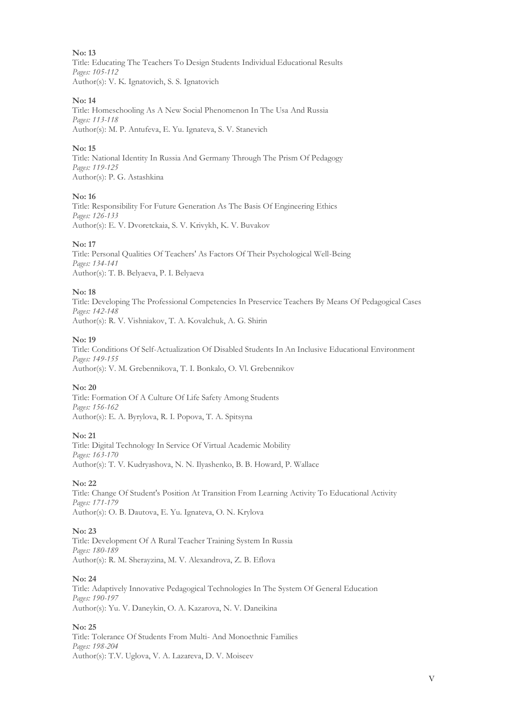Title: Educating The Teachers To Design Students Individual Educational Results *Pages: 105-112* Author(s): V. K. Ignatovich, S. S. Ignatovich

#### **No: 14**

Title: Homeschooling As A New Social Phenomenon In The Usa And Russia *Pages: 113-118* Author(s): M. P. Antufeva, E. Yu. Ignateva, S. V. Stanevich

#### **No: 15**

Title: National Identity In Russia And Germany Through The Prism Of Pedagogy *Pages: 119-125* Author(s): P. G. Astashkina

#### **No: 16**

Title: Responsibility For Future Generation As The Basis Of Engineering Ethics *Pages: 126-133* Author(s): E. V. Dvoretckaia, S. V. Krivykh, K. V. Buvakov

#### **No: 17**

Title: Personal Qualities Of Teachers' As Factors Of Their Psychological Well-Being *Pages: 134-141* Author(s): T. B. Belyaeva, P. I. Belyaeva

#### **No: 18**

Title: Developing The Professional Competencies In Preservice Teachers By Means Of Pedagogical Cases *Pages: 142-148* Author(s): R. V. Vishniakov, T. A. Kovalchuk, A. G. Shirin

#### **No: 19**

Title: Conditions Of Self-Actualization Of Disabled Students In An Inclusive Educational Environment *Pages: 149-155* Author(s): V. M. Grebennikova, T. I. Bonkalo, O. Vl. Grebennikov

#### **No: 20**

Title: Formation Of A Culture Of Life Safety Among Students *Pages: 156-162* Author(s): E. A. Byrylova, R. I. Popova, T. A. Spitsyna

#### **No: 21**

Title: Digital Technology In Service Of Virtual Academic Mobility *Pages: 163-170* Author(s): T. V. Kudryashova, N. N. Ilyashenko, B. B. Howard, P. Wallace

#### **No: 22**

Title: Change Of Student's Position At Transition From Learning Activity To Educational Activity *Pages: 171-179* Author(s): O. B. Dautova, E. Yu. Ignateva, O. N. Krylova

#### **No: 23**

Title: Development Of A Rural Teacher Training System In Russia *Pages: 180-189* Author(s): R. M. Sherayzina, M. V. Alexandrova, Z. B. Eflova

#### **No: 24**

Title: Adaptively Innovative Pedagogical Technologies In The System Of General Education *Pages: 190-197* Author(s): Yu. V. Daneykin, O. A. Kazarova, N. V. Daneikina

#### **No: 25**

Title: Tolerance Of Students From Multi- And Monoethnic Families *Pages: 198-204* Author(s): T.V. Uglova, V. A. Lazareva, D. V. Moiseev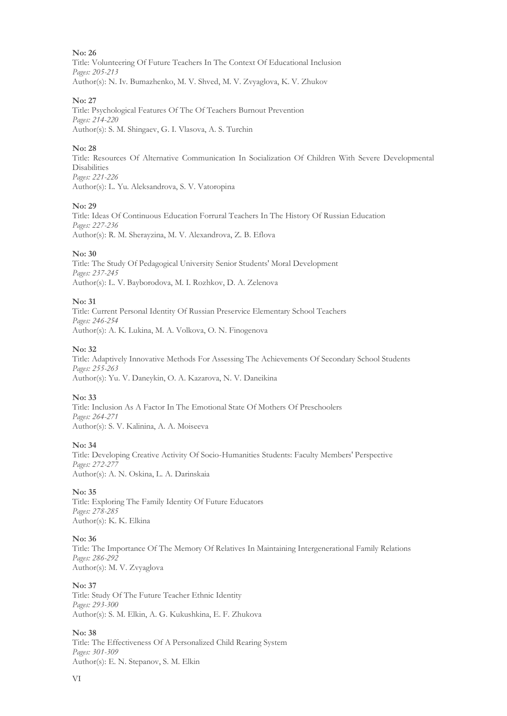Title: Volunteering Of Future Teachers In The Context Of Educational Inclusion *Pages: 205-213* Author(s): N. Iv. Bumazhenko, M. V. Shved, M. V. Zvyaglova, K. V. Zhukov

#### **No: 27**

Title: Psychological Features Of The Of Teachers Burnout Prevention *Pages: 214-220* Author(s): S. M. Shingaev, G. I. Vlasova, A. S. Turchin

#### **No: 28**

Title: Resources Of Alternative Communication In Socialization Of Children With Severe Developmental **Disabilities** *Pages: 221-226* Author(s): L. Yu. Aleksandrova, S. V. Vatoropina

#### **No: 29**

Title: Ideas Of Continuous Education Forrural Teachers In The History Of Russian Education *Pages: 227-236* Author(s): R. M. Sherayzina, M. V. Alexandrova, Z. B. Eflova

#### **No: 30**

Title: The Study Of Pedagogical University Senior Students' Moral Development *Pages: 237-245* Author(s): L. V. Bayborodova, M. I. Rozhkov, D. A. Zelenova

#### **No: 31**

Title: Сurrent Personal Identity Of Russian Preservice Elementary School Teachers *Pages: 246-254* Author(s): A. K. Lukina, M. A. Volkova, O. N. Finogenova

#### **No: 32**

Title: Adaptively Innovative Methods For Assessing The Achievements Of Secondary School Students *Pages: 255-263* Author(s): Yu. V. Daneykin, O. A. Kazarova, N. V. Daneikina

#### **No: 33**

Title: Inclusion As A Factor In The Emotional State Of Mothers Of Preschoolers *Pages: 264-271* Author(s): S. V. Kalinina, A. A. Moiseeva

#### **No: 34**

Title: Developing Creative Activity Of Socio-Humanities Students: Faculty Members' Perspective *Pages: 272-277* Author(s): A. N. Oskina, L. A. Darinskaia

#### **No: 35**

Title: Exploring The Family Identity Of Future Educators *Pages: 278-285* Author(s): K. K. Elkina

#### **No: 36**

Title: The Importance Of The Memory Of Relatives In Maintaining Intergenerational Family Relations *Pages: 286-292* Author(s): M. V. Zvyaglova

#### **No: 37**

Title: Study Of The Future Teacher Ethnic Identity *Pages: 293-300* Author(s): S. M. Elkin, A. G. Kukushkina, E. F. Zhukova

#### **No: 38**

Title: The Effectiveness Of A Personalized Child Rearing System *Pages: 301-309* Author(s): E. N. Stepanov, S. M. Elkin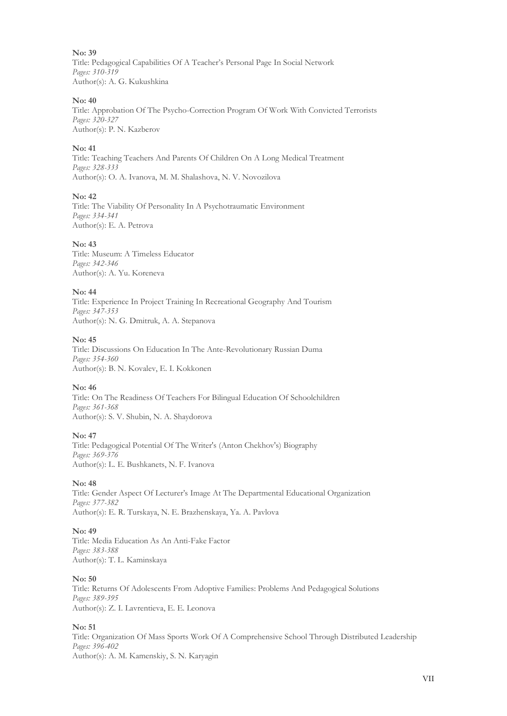Title: Pedagogical Capabilities Of A Teacher's Personal Page In Social Network *Pages: 310-319* Author(s): A. G. Kukushkina

#### **No: 40**

Title: Approbation Of The Psycho-Correction Program Of Work With Convicted Terrorists *Pages: 320-327* Author(s): P. N. Kazberov

#### **No: 41**

Title: Teaching Teachers And Parents Of Children On A Long Medical Treatment *Pages: 328-333* Author(s): O. A. Ivanova, M. M. Shalashova, N. V. Novozilova

#### **No: 42**

Title: The Viability Of Personality In A Psychotraumatic Environment *Pages: 334-341* Author(s): E. A. Petrova

#### **No: 43**

Title: Museum: A Timeless Educator *Pages: 342-346* Author(s): A. Yu. Koreneva

#### **No: 44**

Title: Experience In Project Training In Recreational Geography And Tourism *Pages: 347-353* Author(s): N. G. Dmitruk, A. A. Stepanova

#### **No: 45**

Title: Discussions On Education In The Ante-Revolutionary Russian Duma *Pages: 354-360* Author(s): B. N. Kovalev, E. I. Kokkonen

#### **No: 46**

Title: On The Readiness Of Teachers For Bilingual Education Of Schoolchildren *Pages: 361-368* Author(s): S. V. Shubin, N. A. Shaydorova

#### **No: 47**

Title: Pedagogical Potential Of The Writer's (Anton Chekhov's) Biography *Pages: 369-376* Author(s): L. E. Bushkanets, N. F. Ivanova

#### **No: 48**

Title: Gender Aspect Of Lecturer's Image At The Departmental Educational Organization *Pages: 377-382* Author(s): E. R. Turskaya, N. E. Brazhenskaya, Ya. A. Pavlova

#### **No: 49**

Title: Media Education As An Anti-Fake Factor *Pages: 383-388* Author(s): T. L. Kaminskaya

#### **No: 50**

Title: Returns Of Adolescents From Adoptive Families: Problems And Pedagogical Solutions *Pages: 389-395* Author(s): Z. I. Lavrentieva, E. E. Leonova

#### **No: 51**

Title: Organization Of Mass Sports Work Of A Comprehensive School Through Distributed Leadership *Pages: 396-402* Author(s): A. M. Kamenskiy, S. N. Karyagin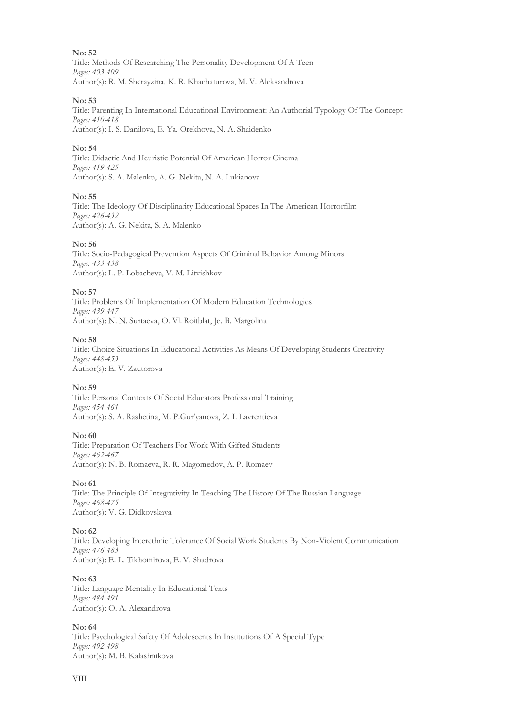Title: Methods Of Researching The Personality Development Of A Teen *Pages: 403-409* Author(s): R. M. Sherayzina, K. R. Khachaturova, M. V. Aleksandrova

#### **No: 53**

Title: Parenting In International Educational Environment: An Authorial Typology Of The Concept *Pages: 410-418* Author(s): I. S. Danilova, E. Ya. Orekhova, N. A. Shaidenko

#### **No: 54**

Title: Didactic And Heuristic Potential Of American Horror Cinema *Pages: 419-425* Author(s): S. A. Malenko, A. G. Nekita, N. A. Lukianova

#### **No: 55**

Title: The Ideology Of Disciplinarity Educational Spaces In The American Horrorfilm *Pages: 426-432* Author(s): A. G. Nekita, S. A. Malenko

#### **No: 56**

Title: Socio-Pedagogical Prevention Aspects Of Criminal Behavior Among Minors *Pages: 433-438* Author(s): L. P. Lobacheva, V. M. Litvishkov

#### **No: 57**

Title: Problems Of Implementation Of Modern Education Technologies *Pages: 439-447* Author(s): N. N. Surtaeva, O. Vl. Roitblat, Je. B. Margolina

#### **No: 58**

Title: Choice Situations In Educational Activities As Means Of Developing Students Creativity *Pages: 448-453* Author(s): E. V. Zautorova

#### **No: 59**

Title: Personal Contexts Of Social Educators Professional Training *Pages: 454-461* Author(s): S. A. Rashetina, M. P.Gur'yanova, Z. I. Lavrentieva

#### **No: 60**

Title: Preparation Of Teachers For Work With Gifted Students *Pages: 462-467* Author(s): N. B. Romaeva, R. R. Magomedov, A. P. Romaev

#### **No: 61**

Title: The Principle Of Integrativity In Teaching The History Of The Russian Language *Pages: 468-475* Author(s): V. G. Didkovskaya

#### **No: 62**

Title: Developing Interethnic Tolerance Of Social Work Students By Non-Violent Communication *Pages: 476-483* Author(s): E. L. Tikhomirova, E. V. Shadrova

#### **No: 63**

Title: Language Mentality In Educational Texts *Pages: 484-491* Author(s): O. A. Alexandrova

#### **No: 64**

Title: Psychological Safety Of Adolescents In Institutions Of A Special Type *Pages: 492-498* Author(s): M. B. Kalashnikova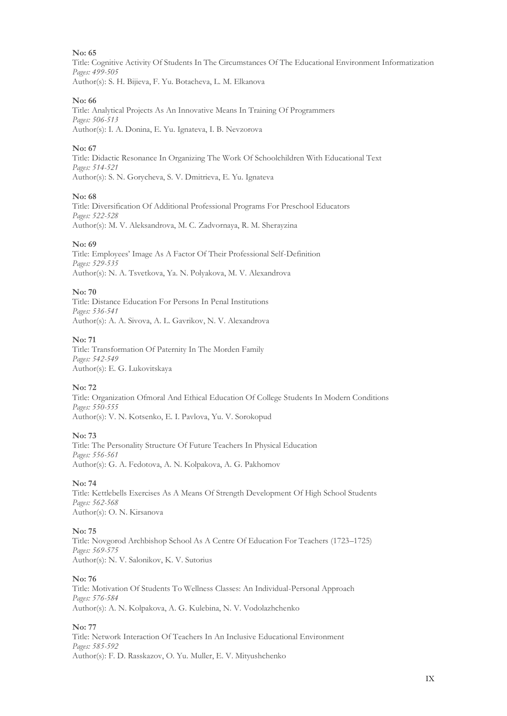Title: Cognitive Activity Of Students In The Circumstances Of The Educational Environment Informatization *Pages: 499-505* Author(s): S. H. Bijieva, F. Yu. Botacheva, L. M. Elkanova

#### **No: 66**

Title: Analytical Projects As An Innovative Means In Training Of Programmers *Pages: 506-513* Author(s): I. A. Donina, E. Yu. Ignateva, I. B. Nevzorova

#### **No: 67**

Title: Didactic Resonance In Organizing The Work Of Schoolchildren With Educational Text *Pages: 514-521* Author(s): S. N. Gorycheva, S. V. Dmitrieva, E. Yu. Ignateva

#### **No: 68**

Title: Diversification Of Additional Professional Programs For Preschool Educators *Pages: 522-528* Author(s): M. V. Aleksandrova, M. C. Zadvornaya, R. M. Sherayzina

#### **No: 69**

Title: Employees' Image As A Factor Of Their Professional Self-Definition *Pages: 529-535* Author(s): N. A. Tsvetkova, Ya. N. Polyakova, M. V. Alexandrova

#### **No: 70**

Title: Distance Education For Persons In Penal Institutions *Pages: 536-541* Author(s): A. A. Sivova, A. L. Gavrikov, N. V. Alexandrova

#### **No: 71**

Title: Transformation Of Paternity In The Morden Family *Pages: 542-549* Author(s): E. G. Lukovitskaya

#### **No: 72**

Title: Organization Ofmoral And Ethical Education Of College Students In Modern Conditions *Pages: 550-555* Author(s): V. N. Kotsenko, E. I. Pavlova, Yu. V. Sorokopud

#### **No: 73**

Title: The Personality Structure Of Future Teachers In Physical Education *Pages: 556-561* Author(s): G. A. Fedotova, A. N. Kolpakova, A. G. Pakhomov

#### **No: 74**

Title: Kettlebells Exercises As A Means Of Strength Development Of High School Students *Pages: 562-568* Author(s): O. N. Kirsanova

#### **No: 75**

Title: Novgorod Archbishop School As A Centre Of Education For Teachers (1723–1725) *Pages: 569-575* Author(s): N. V. Salonikov, K. V. Sutorius

#### **No: 76**

Title: Motivation Of Students To Wellness Classes: An Individual-Personal Approach *Pages: 576-584* Author(s): A. N. Kolpakova, A. G. Kulebina, N. V. Vodolazhchenko

#### **No: 77**

Title: Network Interaction Of Teachers In An Inclusive Educational Environment *Pages: 585-592* Author(s): F. D. Rasskazov, O. Yu. Muller, E. V. Mityushchenko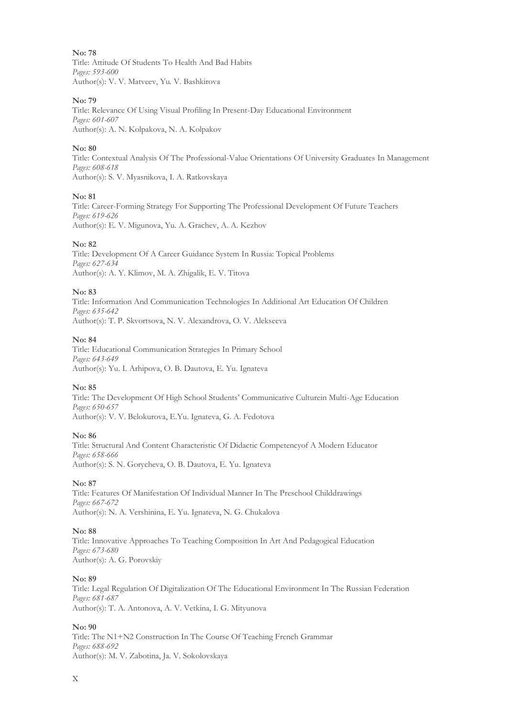Title: Attitude Of Students To Health And Bad Habits *Pages: 593-600* Author(s): V. V. Matveev, Yu. V. Bashkirova

#### **No: 79**

Title: Relevance Of Using Visual Profiling In Present-Day Educational Environment *Pages: 601-607* Author(s): A. N. Kolpakova, N. A. Kolpakov

#### **No: 80**

Title: Contextual Analysis Of The Professional-Value Orientations Of University Graduates In Management *Pages: 608-618* Author(s): S. V. Myasnikova, I. A. Ratkovskaya

#### **No: 81**

Title: Career-Forming Strategy For Supporting The Professional Development Of Future Teachers *Pages: 619-626* Author(s): E. V. Migunova, Yu. A. Grachev, А. A. Kezhov

#### **No: 82**

Title: Development Of A Career Guidance System In Russia: Topical Problems *Pages: 627-634* Author(s): A. Y. Klimov, M. A. Zhigalik, E. V. Titova

#### **No: 83**

Title: Information And Communication Technologies In Additional Art Education Of Children *Pages: 635-642* Author(s): T. P. Skvortsova, N. V. Alexandrova, O. V. Alekseeva

#### **No: 84**

Title: Educational Communication Strategies In Primary School *Pages: 643-649* Author(s): Yu. I. Arhipova, O. B. Dautova, E. Yu. Ignateva

#### **No: 85**

Title: The Development Of High School Students' Communicative Culturein Multi-Age Education *Pages: 650-657* Author(s): V. V. Belokurova, E.Yu. Ignateva, G. A. Fedotova

#### **No: 86**

Title: Structural And Content Characteristic Of Didactic Competencyof A Modern Educator *Pages: 658-666* Author(s): S. N. Gorycheva, O. B. Dautova, E. Yu. Ignateva

#### **No: 87**

Title: Features Of Manifestation Of Individual Manner In The Preschool Childdrawings *Pages: 667-672* Author(s): N. A. Vershinina, E. Yu. Ignateva, N. G. Chukalova

#### **No: 88**

Title: Innovative Approaches To Teaching Composition In Art And Pedagogical Education *Pages: 673-680* Author(s): A. G. Porovskiy

#### **No: 89**

Title: Legal Regulation Of Digitalization Of The Educational Environment In The Russian Federation *Pages: 681-687* Author(s): Т. A. Antonova, A. V. Vetkina, I. G. Mityunova

#### **No: 90**

Title: The N1+N2 Construction In The Course Of Teaching French Grammar *Pages: 688-692* Author(s): M. V. Zabotina, Ja. V. Sokolovskaya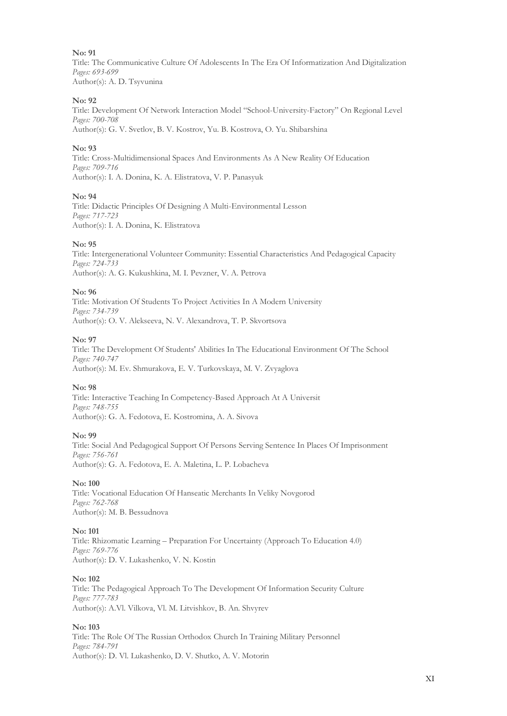Title: The Communicative Culture Of Adolescents In The Era Of Informatization And Digitalization *Pages: 693-699* Author(s): A. D. Tsyvunina

#### **No: 92**

Title: Development Of Network Interaction Model "School-University-Factory" On Regional Level *Pages: 700-708* Author(s): G. V. Svetlov, B. V. Kostrov, Yu. B. Kostrova, O. Yu. Shibarshina

#### **No: 93**

Title: Cross-Multidimensional Spaces And Environments As A New Reality Of Education *Pages: 709-716* Author(s): I. A. Donina, K. A. Elistratova, V. P. Panasyuk

#### **No: 94**

Title: Didactic Principles Of Designing A Multi-Environmental Lesson *Pages: 717-723* Author(s): I. A. Donina, K. Elistratova

#### **No: 95**

Title: Intergenerational Volunteer Community: Essential Characteristics And Pedagogical Capacity *Pages: 724-733* Author(s): A. G. Kukushkina, M. I. Pevzner, V. A. Petrova

#### **No: 96**

Title: Motivation Of Students To Project Activities In A Modern University *Pages: 734-739* Author(s): O. V. Alekseeva, N. V. Alexandrova, T. P. Skvortsova

#### **No: 97**

Title: The Development Of Students' Abilities In The Educational Environment Of The School *Pages: 740-747* Author(s): M. Ev. Shmurakova, E. V. Turkovskaya, M. V. Zvyaglova

#### **No: 98**

Title: Interactive Teaching In Competency-Based Approach At A Universit *Pages: 748-755* Author(s): G. A. Fedotova, E. Kostromina, A. A. Sivova

#### **No: 99**

Title: Social And Pedagogical Support Of Persons Serving Sentence In Places Of Imprisonment *Pages: 756-761* Author(s): G. A. Fedotova, E. A. Maletina, L. P. Lobacheva

#### **No: 100**

Title: Vocational Education Of Hanseatic Merchants In Veliky Novgorod *Pages: 762-768* Author(s): M. B. Bessudnova

#### **No: 101**

Title: Rhizomatic Learning – Preparation For Uncertainty (Approach To Education 4.0) *Pages: 769-776* Author(s): D. V. Lukashenko, V. N. Kostin

#### **No: 102**

Title: The Pedagogical Approach To The Development Of Information Security Culture *Pages: 777-783* Author(s): A.Vl. Vilkova, Vl. M. Litvishkov, B. An. Shvyrev

#### **No: 103**

Title: The Role Of The Russian Orthodox Church In Training Military Personnel *Pages: 784-791* Author(s): D. Vl. Lukashenko, D. V. Shutko, A. V. Motorin